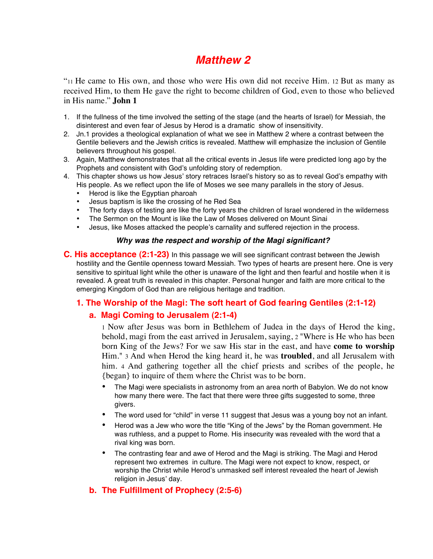# *Matthew 2*

"11 He came to His own, and those who were His own did not receive Him. 12 But as many as received Him, to them He gave the right to become children of God, even to those who believed in His name." **John 1**

- 1. If the fullness of the time involved the setting of the stage (and the hearts of Israel) for Messiah, the disinterest and even fear of Jesus by Herod is a dramatic show of insensitivity.
- 2. Jn.1 provides a theological explanation of what we see in Matthew 2 where a contrast between the Gentile believers and the Jewish critics is revealed. Matthew will emphasize the inclusion of Gentile believers throughout his gospel.
- 3. Again, Matthew demonstrates that all the critical events in Jesus life were predicted long ago by the Prophets and consistent with God's unfolding story of redemption.
- 4. This chapter shows us how Jesus' story retraces Israel's history so as to reveal God's empathy with His people. As we reflect upon the life of Moses we see many parallels in the story of Jesus.
	- Herod is like the Egyptian pharoah
	- Jesus baptism is like the crossing of he Red Sea
	- The forty days of testing are like the forty years the children of Israel wondered in the wilderness
	- The Sermon on the Mount is like the Law of Moses delivered on Mount Sinai
	- Jesus, like Moses attacked the people's carnality and suffered rejection in the process.

#### *Why was the respect and worship of the Magi significant?*

**C. His acceptance (2:1-23)** In this passage we will see significant contrast between the Jewish hostility and the Gentile openness toward Messiah. Two types of hearts are present here. One is very sensitive to spiritual light while the other is unaware of the light and then fearful and hostile when it is revealed. A great truth is revealed in this chapter. Personal hunger and faith are more critical to the emerging Kingdom of God than are religious heritage and tradition.

# **1. The Worship of the Magi: The soft heart of God fearing Gentiles (2:1-12)**

# **a. Magi Coming to Jerusalem (2:1-4)**

1 Now after Jesus was born in Bethlehem of Judea in the days of Herod the king, behold, magi from the east arrived in Jerusalem, saying, 2 "Where is He who has been born King of the Jews? For we saw His star in the east, and have **come to worship** Him." 3 And when Herod the king heard it, he was **troubled**, and all Jerusalem with him. 4 And gathering together all the chief priests and scribes of the people, he {began} to inquire of them where the Christ was to be born.

- The Magi were specialists in astronomy from an area north of Babylon. We do not know how many there were. The fact that there were three gifts suggested to some, three givers.
- The word used for "child" in verse 11 suggest that Jesus was a young boy not an infant.
- Herod was a Jew who wore the title "King of the Jews" by the Roman government. He was ruthless, and a puppet to Rome. His insecurity was revealed with the word that a rival king was born.
- The contrasting fear and awe of Herod and the Magi is striking. The Magi and Herod represent two extremes in culture. The Magi were not expect to know, respect, or worship the Christ while Herod's unmasked self interest revealed the heart of Jewish religion in Jesus' day.

# **b. The Fulfillment of Prophecy (2:5-6)**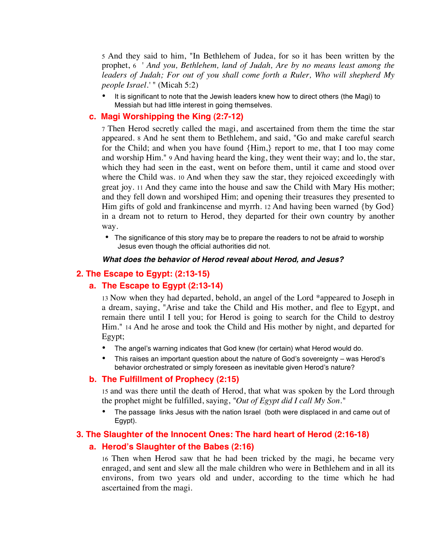5 And they said to him, "In Bethlehem of Judea, for so it has been written by the prophet, 6 *' And you, Bethlehem, land of Judah, Are by no means least among the leaders of Judah; For out of you shall come forth a Ruler, Who will shepherd My people Israel.'* " (Micah 5:2)

• It is significant to note that the Jewish leaders knew how to direct others (the Magi) to Messiah but had little interest in going themselves.

# **c. Magi Worshipping the King (2:7-12)**

7 Then Herod secretly called the magi, and ascertained from them the time the star appeared. 8 And he sent them to Bethlehem, and said, "Go and make careful search for the Child; and when you have found {Him,} report to me, that I too may come and worship Him." 9 And having heard the king, they went their way; and lo, the star, which they had seen in the east, went on before them, until it came and stood over where the Child was. 10 And when they saw the star, they rejoiced exceedingly with great joy. 11 And they came into the house and saw the Child with Mary His mother; and they fell down and worshiped Him; and opening their treasures they presented to Him gifts of gold and frankincense and myrrh. 12 And having been warned {by God} in a dream not to return to Herod, they departed for their own country by another way.

• The significance of this story may be to prepare the readers to not be afraid to worship Jesus even though the official authorities did not.

#### *What does the behavior of Herod reveal about Herod, and Jesus?*

### **2. The Escape to Egypt: (2:13-15)**

#### **a. The Escape to Egypt (2:13-14)**

13 Now when they had departed, behold, an angel of the Lord \*appeared to Joseph in a dream, saying, "Arise and take the Child and His mother, and flee to Egypt, and remain there until I tell you; for Herod is going to search for the Child to destroy Him." 14 And he arose and took the Child and His mother by night, and departed for Egypt;

- The angel's warning indicates that God knew (for certain) what Herod would do.
- This raises an important question about the nature of God's sovereignty was Herod's behavior orchestrated or simply foreseen as inevitable given Herod's nature?

#### **b. The Fulfillment of Prophecy (2:15)**

15 and was there until the death of Herod, that what was spoken by the Lord through the prophet might be fulfilled, saying, *"Out of Egypt did I call My Son."*

• The passage links Jesus with the nation Israel (both were displaced in and came out of Egypt).

#### **3. The Slaughter of the Innocent Ones: The hard heart of Herod (2:16-18)**

## **a. Herod's Slaughter of the Babes (2:16)**

16 Then when Herod saw that he had been tricked by the magi, he became very enraged, and sent and slew all the male children who were in Bethlehem and in all its environs, from two years old and under, according to the time which he had ascertained from the magi.